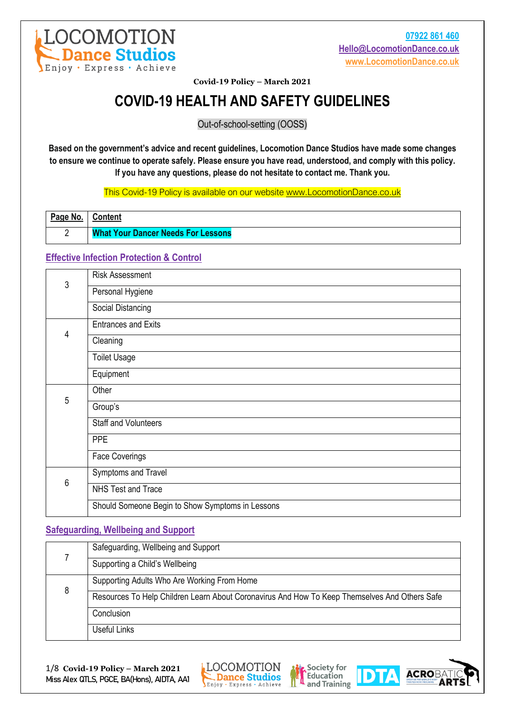

# **COVID-19 HEALTH AND SAFETY GUIDELINES**

Out-of-school-setting (OOSS)

**Based on the government's advice and recent guidelines, Locomotion Dance Studios have made some changes to ensure we continue to operate safely. Please ensure you have read, understood, and comply with this policy. If you have any questions, please do not hesitate to contact me. Thank you.**

This Covid-19 Policy is available on our website [www.LocomotionDance.co.uk](http://www.locomotiondance.co.uk/)

| Page No. | <b>Content</b>                            |
|----------|-------------------------------------------|
|          | <b>What Your Dancer Needs For Lessons</b> |

# **Effective Infection Protection & Control**

|   | <b>Risk Assessment</b>                           |
|---|--------------------------------------------------|
| 3 | Personal Hygiene                                 |
|   | Social Distancing                                |
|   | <b>Entrances and Exits</b>                       |
| 4 | Cleaning                                         |
|   | <b>Toilet Usage</b>                              |
|   | Equipment                                        |
| 5 | Other                                            |
|   | Group's                                          |
|   | <b>Staff and Volunteers</b>                      |
|   | <b>PPE</b>                                       |
|   | <b>Face Coverings</b>                            |
| 6 | Symptoms and Travel                              |
|   | NHS Test and Trace                               |
|   | Should Someone Begin to Show Symptoms in Lessons |

# **Safeguarding, Wellbeing and Support**

|   | Safeguarding, Wellbeing and Support                                                           |
|---|-----------------------------------------------------------------------------------------------|
|   | Supporting a Child's Wellbeing                                                                |
| 8 | Supporting Adults Who Are Working From Home                                                   |
|   | Resources To Help Children Learn About Coronavirus And How To Keep Themselves And Others Safe |
|   | Conclusion                                                                                    |
|   | <b>Useful Links</b>                                                                           |







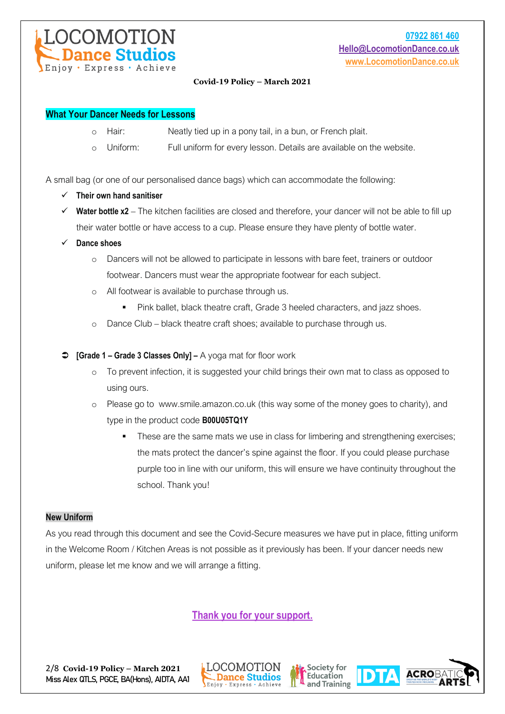

## **What Your Dancer Needs for Lessons**

- o Hair: Neatly tied up in a pony tail, in a bun, or French plait.
- o Uniform: Full uniform for every lesson. Details are available on the website.

A small bag (or one of our personalised dance bags) which can accommodate the following:

- ✓ **Their own hand sanitiser**
- ✓ **Water bottle x2** The kitchen facilities are closed and therefore, your dancer will not be able to fill up their water bottle or have access to a cup. Please ensure they have plenty of bottle water.
- ✓ **Dance shoes**
	- o Dancers will not be allowed to participate in lessons with bare feet, trainers or outdoor footwear. Dancers must wear the appropriate footwear for each subject.
	- o All footwear is available to purchase through us.
		- Pink ballet, black theatre craft, Grade 3 heeled characters, and jazz shoes.
	- o Dance Club black theatre craft shoes; available to purchase through us.
- **[Grade 1 – Grade 3 Classes Only] –** A yoga mat for floor work
	- o To prevent infection, it is suggested your child brings their own mat to class as opposed to using ours.
	- o Please go to www.smile.amazon.co.uk (this way some of the money goes to charity), and type in the product code **B00U05TQ1Y**
		- These are the same mats we use in class for limbering and strengthening exercises; the mats protect the dancer's spine against the floor. If you could please purchase purple too in line with our uniform, this will ensure we have continuity throughout the school. Thank you!

## **New Uniform**

As you read through this document and see the Covid-Secure measures we have put in place, fitting uniform in the Welcome Room / Kitchen Areas is not possible as it previously has been. If your dancer needs new uniform, please let me know and we will arrange a fitting.

**Thank you for your support.**







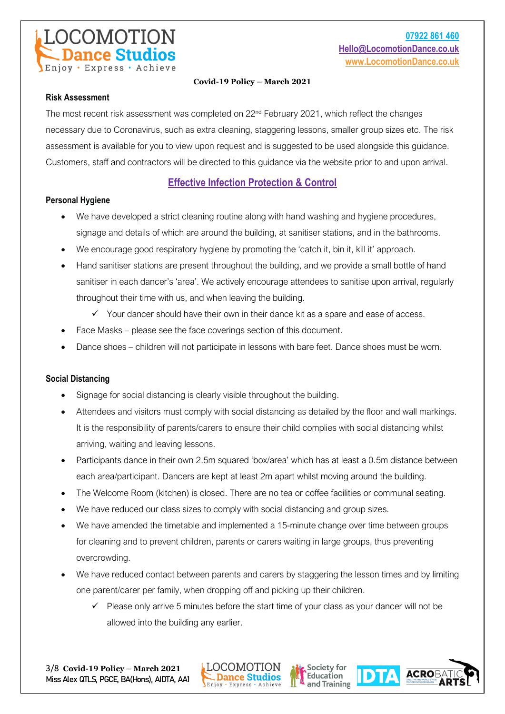

## **Risk Assessment**

The most recent risk assessment was completed on 22<sup>nd</sup> February 2021, which reflect the changes necessary due to Coronavirus, such as extra cleaning, staggering lessons, smaller group sizes etc. The risk assessment is available for you to view upon request and is suggested to be used alongside this guidance. Customers, staff and contractors will be directed to this guidance via the website prior to and upon arrival.

# **Effective Infection Protection & Control**

## **Personal Hygiene**

- We have developed a strict cleaning routine along with hand washing and hygiene procedures, signage and details of which are around the building, at sanitiser stations, and in the bathrooms.
- We encourage good respiratory hygiene by promoting the 'catch it, bin it, kill it' approach.
- Hand sanitiser stations are present throughout the building, and we provide a small bottle of hand sanitiser in each dancer's 'area'. We actively encourage attendees to sanitise upon arrival, regularly throughout their time with us, and when leaving the building.
	- $\checkmark$  Your dancer should have their own in their dance kit as a spare and ease of access.
- Face Masks please see the face coverings section of this document.
- Dance shoes children will not participate in lessons with bare feet. Dance shoes must be worn.

## **Social Distancing**

- Signage for social distancing is clearly visible throughout the building.
- Attendees and visitors must comply with social distancing as detailed by the floor and wall markings. It is the responsibility of parents/carers to ensure their child complies with social distancing whilst arriving, waiting and leaving lessons.
- Participants dance in their own 2.5m squared 'box/area' which has at least a 0.5m distance between each area/participant. Dancers are kept at least 2m apart whilst moving around the building.
- The Welcome Room (kitchen) is closed. There are no tea or coffee facilities or communal seating.
- We have reduced our class sizes to comply with social distancing and group sizes.
- We have amended the timetable and implemented a 15-minute change over time between groups for cleaning and to prevent children, parents or carers waiting in large groups, thus preventing overcrowding.
- We have reduced contact between parents and carers by staggering the lesson times and by limiting one parent/carer per family, when dropping off and picking up their children.
	- Please only arrive 5 minutes before the start time of your class as your dancer will not be allowed into the building any earlier.





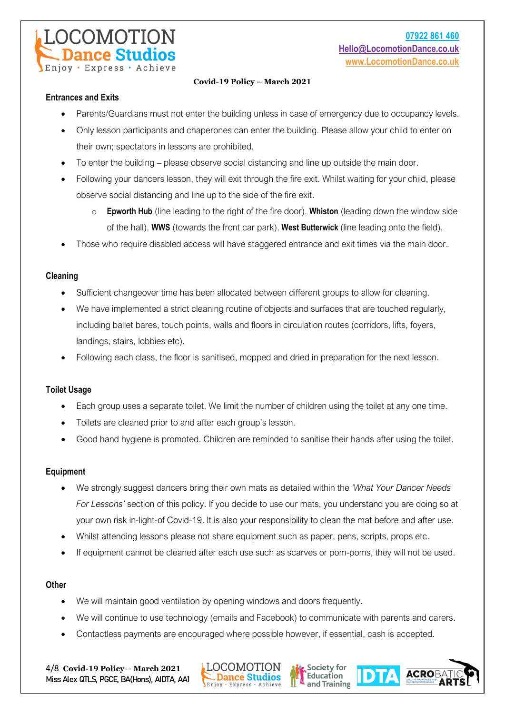

## **Entrances and Exits**

- Parents/Guardians must not enter the building unless in case of emergency due to occupancy levels.
- Only lesson participants and chaperones can enter the building. Please allow your child to enter on their own; spectators in lessons are prohibited.
- To enter the building please observe social distancing and line up outside the main door.
- Following your dancers lesson, they will exit through the fire exit. Whilst waiting for your child, please observe social distancing and line up to the side of the fire exit.
	- o **Epworth Hub** (line leading to the right of the fire door). **Whiston** (leading down the window side of the hall). **WWS** (towards the front car park). **West Butterwick** (line leading onto the field).
- Those who require disabled access will have staggered entrance and exit times via the main door.

## **Cleaning**

- Sufficient changeover time has been allocated between different groups to allow for cleaning.
- We have implemented a strict cleaning routine of objects and surfaces that are touched regularly, including ballet bares, touch points, walls and floors in circulation routes (corridors, lifts, foyers, landings, stairs, lobbies etc).
- Following each class, the floor is sanitised, mopped and dried in preparation for the next lesson.

## **Toilet Usage**

- Each group uses a separate toilet. We limit the number of children using the toilet at any one time.
- Toilets are cleaned prior to and after each group's lesson.
- Good hand hygiene is promoted. Children are reminded to sanitise their hands after using the toilet.

#### **Equipment**

- We strongly suggest dancers bring their own mats as detailed within the *'What Your Dancer Needs For Lessons'* section of this policy. If you decide to use our mats, you understand you are doing so at your own risk in-light-of Covid-19. It is also your responsibility to clean the mat before and after use.
- Whilst attending lessons please not share equipment such as paper, pens, scripts, props etc.
- If equipment cannot be cleaned after each use such as scarves or pom-poms, they will not be used.

#### **Other**

- We will maintain good ventilation by opening windows and doors frequently.
- We will continue to use technology (emails and Facebook) to communicate with parents and carers.

Society for

Education

and Training

**ACROBA** 

• Contactless payments are encouraged where possible however, if essential, cash is accepted.

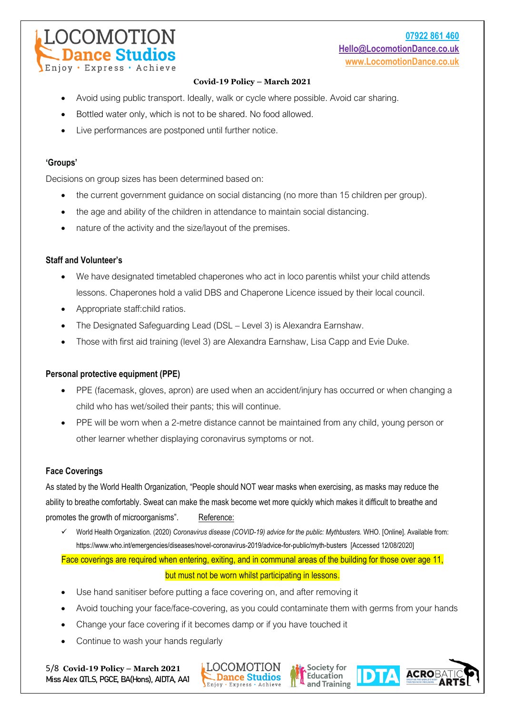- Avoid using public transport. Ideally, walk or cycle where possible. Avoid car sharing.
- Bottled water only, which is not to be shared. No food allowed.
- Live performances are postponed until further notice.

## **'Groups'**

Decisions on group sizes has been determined based on:

- the current government guidance on social distancing (no more than 15 children per group).
- the age and ability of the children in attendance to maintain social distancing.
- nature of the activity and the size/layout of the premises.

## **Staff and Volunteer's**

Eniov · Express

- We have designated timetabled chaperones who act in loco parentis whilst your child attends lessons. Chaperones hold a valid DBS and Chaperone Licence issued by their local council.
- Appropriate staff:child ratios.

DCOMOTION

ance Studios

- The Designated Safeguarding Lead (DSL Level 3) is Alexandra Earnshaw.
- Those with first aid training (level 3) are Alexandra Earnshaw, Lisa Capp and Evie Duke.

## **Personal protective equipment (PPE)**

- PPE (facemask, gloves, apron) are used when an accident/injury has occurred or when changing a child who has wet/soiled their pants; this will continue.
- PPE will be worn when a 2-metre distance cannot be maintained from any child, young person or other learner whether displaying coronavirus symptoms or not.

## **Face Coverings**

As stated by the World Health Organization, "People should NOT wear masks when exercising, as masks may reduce the ability to breathe comfortably. Sweat can make the mask become wet more quickly which makes it difficult to breathe and promotes the growth of microorganisms". Reference:

✓ World Health Organization. (2020) *Coronavirus disease (COVID-19) advice for the public: Mythbusters.* WHO. [Online]. Available from: <https://www.who.int/emergencies/diseases/novel-coronavirus-2019/advice-for-public/myth-busters>[Accessed 12/08/2020]

Face coverings are required when entering, exiting, and in communal areas of the building for those over age 11,

#### but must not be worn whilst participating in lessons.

- Use hand sanitiser before putting a face covering on, and after removing it
- Avoid touching your face/face-covering, as you could contaminate them with germs from your hands

Society for

Education and Training **ACROBA** 

- Change your face covering if it becomes damp or if you have touched it
- Continue to wash your hands regularly

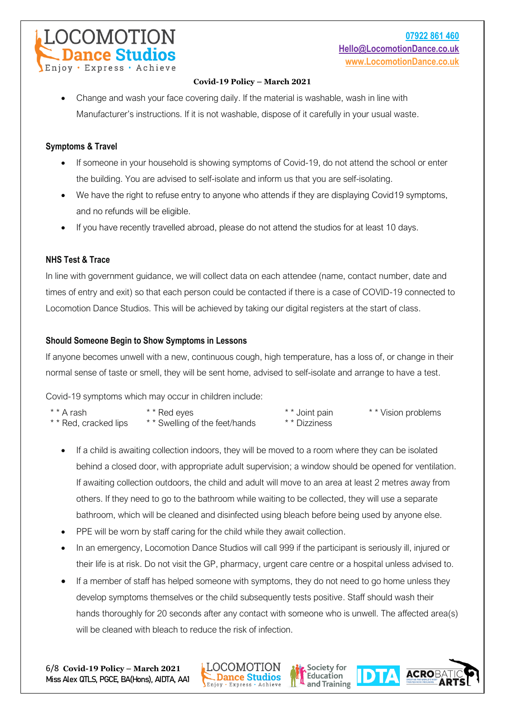• Change and wash your face covering daily. If the material is washable, wash in line with Manufacturer's instructions. If it is not washable, dispose of it carefully in your usual waste.

## **Symptoms & Travel**

OCOMOTION

Express

ance Studios

- If someone in your household is showing symptoms of Covid-19, do not attend the school or enter the building. You are advised to self-isolate and inform us that you are self-isolating.
- We have the right to refuse entry to anyone who attends if they are displaying Covid19 symptoms, and no refunds will be eligible.
- If you have recently travelled abroad, please do not attend the studios for at least 10 days.

## **NHS Test & Trace**

In line with government guidance, we will collect data on each attendee (name, contact number, date and times of entry and exit) so that each person could be contacted if there is a case of COVID-19 connected to Locomotion Dance Studios. This will be achieved by taking our digital registers at the start of class.

## **Should Someone Begin to Show Symptoms in Lessons**

If anyone becomes unwell with a new, continuous cough, high temperature, has a loss of, or change in their normal sense of taste or smell, they will be sent home, advised to self-isolate and arrange to have a test.

Covid-19 symptoms which may occur in children include:

| * * A rash            | * * Red eyes                   | * * Joint pain | * * Vision problems |
|-----------------------|--------------------------------|----------------|---------------------|
| * * Red, cracked lips | * * Swelling of the feet/hands | * * Dizziness  |                     |

- If a child is awaiting collection indoors, they will be moved to a room where they can be isolated behind a closed door, with appropriate adult supervision; a window should be opened for ventilation. If awaiting collection outdoors, the child and adult will move to an area at least 2 metres away from others. If they need to go to the bathroom while waiting to be collected, they will use a separate bathroom, which will be cleaned and disinfected using bleach before being used by anyone else.
- PPE will be worn by staff caring for the child while they await collection.
- In an emergency, Locomotion Dance Studios will call 999 if the participant is seriously ill, injured or their life is at risk. Do not visit the GP, pharmacy, urgent care centre or a hospital unless advised to.
- If a member of staff has helped someone with symptoms, they do not need to go home unless they develop symptoms themselves or the child subsequently tests positive. Staff should wash their hands thoroughly for 20 seconds after any contact with someone who is unwell. The affected area(s) will be cleaned with bleach to reduce the risk of infection.

Society for

Education and Training **ACROBA** 

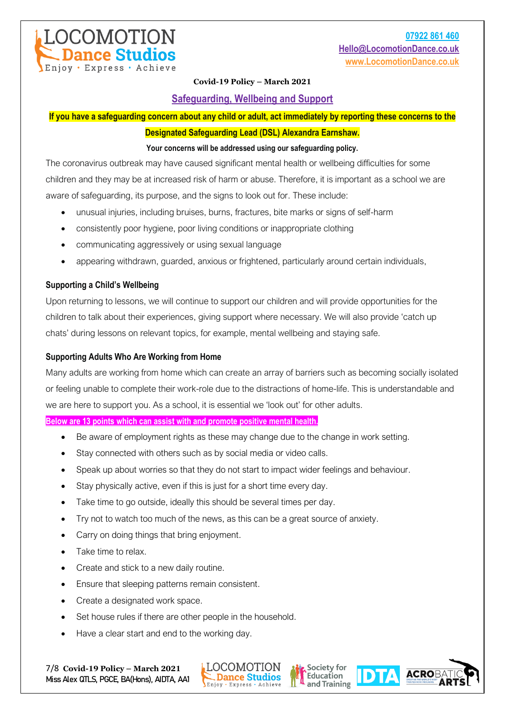

**Safeguarding, Wellbeing and Support**

**If you have a safeguarding concern about any child or adult, act immediately by reporting these concerns to the** 

#### **Designated Safeguarding Lead (DSL) Alexandra Earnshaw.**

#### **Your concerns will be addressed using our safeguarding policy.**

The coronavirus outbreak may have caused significant mental health or wellbeing difficulties for some children and they may be at increased risk of harm or abuse. Therefore, it is important as a school we are aware of safeguarding, its purpose, and the signs to look out for. These include:

- unusual injuries, including bruises, burns, fractures, bite marks or signs of self-harm
- consistently poor hygiene, poor living conditions or inappropriate clothing
- communicating aggressively or using sexual language
- appearing withdrawn, guarded, anxious or frightened, particularly around certain individuals,

## **Supporting a Child's Wellbeing**

OCOMOTION

Eniov · Express · Achieve

**ance Studios** 

Upon returning to lessons, we will continue to support our children and will provide opportunities for the children to talk about their experiences, giving support where necessary. We will also provide 'catch up chats' during lessons on relevant topics, for example, mental wellbeing and staying safe.

### **Supporting Adults Who Are Working from Home**

Many adults are working from home which can create an array of barriers such as becoming socially isolated or feeling unable to complete their work-role due to the distractions of home-life. This is understandable and we are here to support you. As a school, it is essential we 'look out' for other adults.

**Below are 13 points which can assist with and promote positive mental health.**

- Be aware of employment rights as these may change due to the change in work setting.
- Stay connected with others such as by social media or video calls.
- Speak up about worries so that they do not start to impact wider feelings and behaviour.
- Stay physically active, even if this is just for a short time every day.
- Take time to go outside, ideally this should be several times per day.
- Try not to watch too much of the news, as this can be a great source of anxiety.
- Carry on doing things that bring enjoyment.
- Take time to relax.
- Create and stick to a new daily routine.
- Ensure that sleeping patterns remain consistent.
- Create a designated work space.
- Set house rules if there are other people in the household.
- Have a clear start and end to the working day.